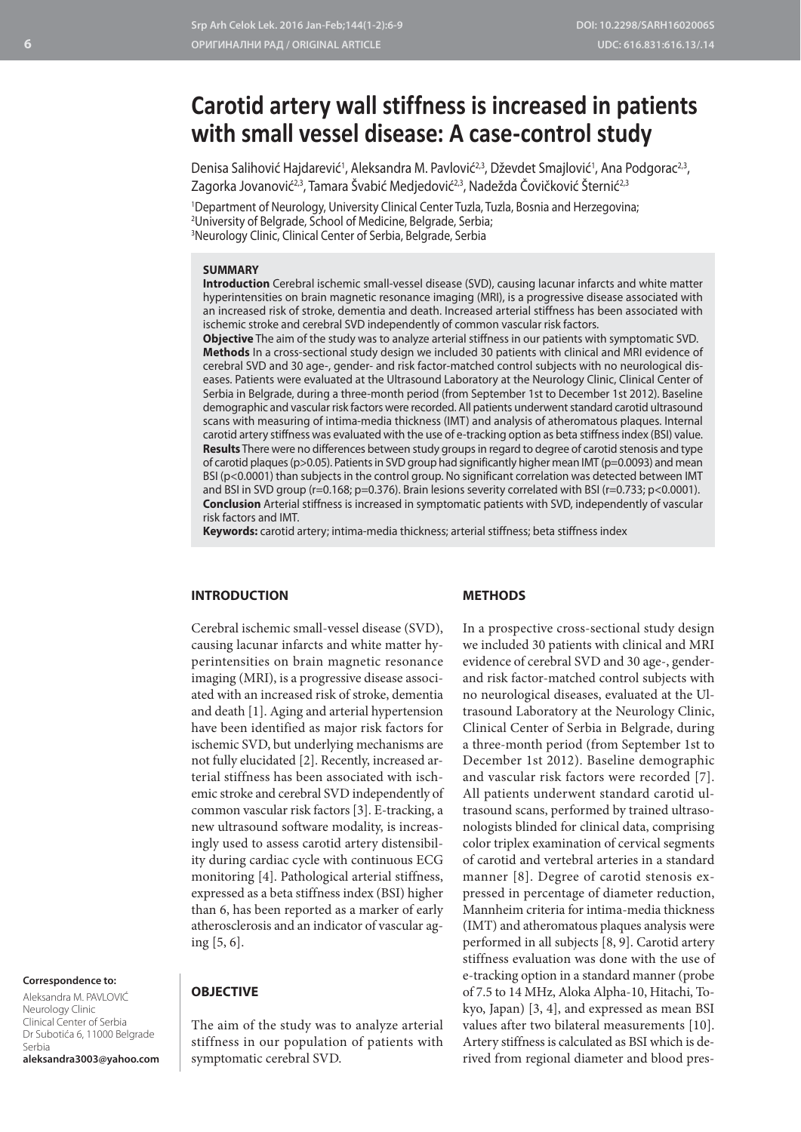# **Carotid artery wall stiffness is increased in patients with small vessel disease: A case-control study**

Denisa Salihović Hajdarević<sup>1</sup>, Aleksandra M. Pavlović<sup>2,3</sup>, Dževdet Smajlović<sup>1</sup>, Ana Podgorac<sup>2,3</sup>, Zagorka Jovanović<sup>2,3</sup>, Tamara Švabić Medjedović<sup>2,3</sup>, Nadežda Čovičković Šternić<sup>2,3</sup>

1 Department of Neurology, University Clinical Center Tuzla, Tuzla, Bosnia and Herzegovina; 2 University of Belgrade, School of Medicine, Belgrade, Serbia; 3 Neurology Clinic, Clinical Center of Serbia, Belgrade, Serbia

## **SUMMARY**

**Introduction** Cerebral ischemic small-vessel disease (SVD), causing lacunar infarcts and white matter hyperintensities on brain magnetic resonance imaging (MRI), is a progressive disease associated with an increased risk of stroke, dementia and death. Increased arterial stiffness has been associated with ischemic stroke and cerebral SVD independently of common vascular risk factors.

**Objective** The aim of the study was to analyze arterial stiffness in our patients with symptomatic SVD. **Methods** In a cross-sectional study design we included 30 patients with clinical and MRI evidence of cerebral SVD and 30 age-, gender- and risk factor-matched control subjects with no neurological diseases. Patients were evaluated at the Ultrasound Laboratory at the Neurology Clinic, Clinical Center of Serbia in Belgrade, during a three-month period (from September 1st to December 1st 2012). Baseline demographic and vascular risk factors were recorded. All patients underwent standard carotid ultrasound scans with measuring of intima-media thickness (IMT) and analysis of atheromatous plaques. Internal carotid artery stiffness was evaluated with the use of e-tracking option as beta stiffness index (BSI) value. **Results** There were no differences between study groups in regard to degree of carotid stenosis and type of carotid plaques (p>0.05). Patients in SVD group had significantly higher mean IMT (p=0.0093) and mean BSI (p<0.0001) than subjects in the control group. No significant correlation was detected between IMT and BSI in SVD group (r=0.168; p=0.376). Brain lesions severity correlated with BSI (r=0.733; p<0.0001). **Conclusion** Arterial stiffness is increased in symptomatic patients with SVD, independently of vascular risk factors and IMT.

**Keywords:** carotid artery; intima-media thickness; arterial stiffness; beta stiffness index

## **INTRODUCTION**

#### **METHODS**

Cerebral ischemic small-vessel disease (SVD), causing lacunar infarcts and white matter hyperintensities on brain magnetic resonance imaging (MRI), is a progressive disease associated with an increased risk of stroke, dementia and death [1]. Aging and arterial hypertension have been identified as major risk factors for ischemic SVD, but underlying mechanisms are not fully elucidated [2]. Recently, increased arterial stiffness has been associated with ischemic stroke and cerebral SVD independently of common vascular risk factors [3]. E-tracking, a new ultrasound software modality, is increasingly used to assess carotid artery distensibility during cardiac cycle with continuous ECG monitoring [4]. Pathological arterial stiffness, expressed as a beta stiffness index (BSI) higher than 6, has been reported as a marker of early atherosclerosis and an indicator of vascular aging [5, 6].

**Correspondence to:**

Aleksandra M. PAVLOVIĆ Neurology Clinic Clinical Center of Serbia Dr Subotića 6, 11000 Belgrade Serbia **aleksandra3003@yahoo.com**

## **OBJECTIVE**

The aim of the study was to analyze arterial stiffness in our population of patients with symptomatic cerebral SVD.

In a prospective cross-sectional study design we included 30 patients with clinical and MRI evidence of cerebral SVD and 30 age-, genderand risk factor-matched control subjects with no neurological diseases, evaluated at the Ultrasound Laboratory at the Neurology Clinic, Clinical Center of Serbia in Belgrade, during a three-month period (from September 1st to December 1st 2012). Baseline demographic and vascular risk factors were recorded [7]. All patients underwent standard carotid ultrasound scans, performed by trained ultrasonologists blinded for clinical data, comprising color triplex examination of cervical segments of carotid and vertebral arteries in a standard manner [8]. Degree of carotid stenosis expressed in percentage of diameter reduction, Mannheim criteria for intima-media thickness (IMT) and atheromatous plaques analysis were performed in all subjects [8, 9]. Carotid artery stiffness evaluation was done with the use of e-tracking option in a standard manner (probe of 7.5 to 14 MHz, Aloka Alpha-10, Hitachi, Tokyo, Japan) [3, 4], and expressed as mean BSI values after two bilateral measurements [10]. Artery stiffness is calculated as BSI which is derived from regional diameter and blood pres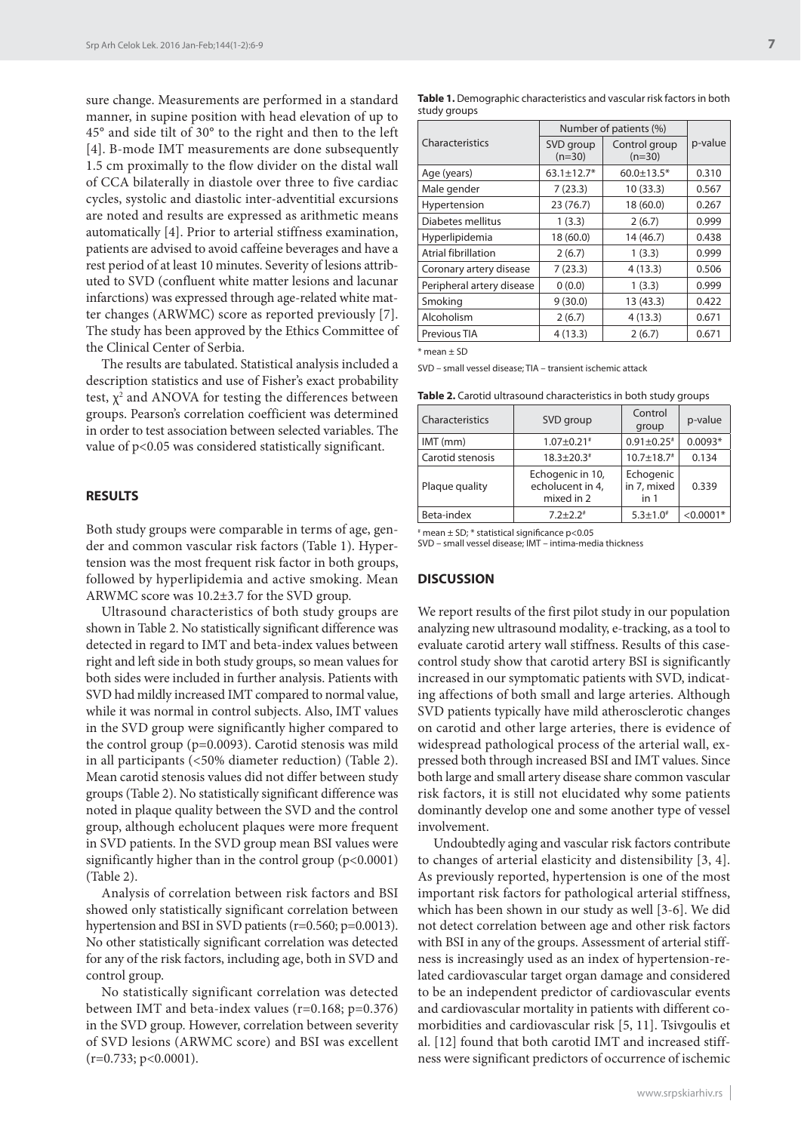sure change. Measurements are performed in a standard manner, in supine position with head elevation of up to 45° and side tilt of 30° to the right and then to the left [4]. B-mode IMT measurements are done subsequently 1.5 cm proximally to the flow divider on the distal wall of CCA bilaterally in diastole over three to five cardiac cycles, systolic and diastolic inter-adventitial excursions are noted and results are expressed as arithmetic means automatically [4]. Prior to arterial stiffness examination, patients are advised to avoid caffeine beverages and have a rest period of at least 10 minutes. Severity of lesions attributed to SVD (confluent white matter lesions and lacunar infarctions) was expressed through age-related white matter changes (ARWMC) score as reported previously [7]. The study has been approved by the Ethics Committee of the Clinical Center of Serbia.

The results are tabulated. Statistical analysis included a description statistics and use of Fisher's exact probability test,  $\chi^2$  and ANOVA for testing the differences between groups. Pearson's correlation coefficient was determined in order to test association between selected variables. The value of p<0.05 was considered statistically significant.

## **RESULTS**

Both study groups were comparable in terms of age, gender and common vascular risk factors (Table 1). Hypertension was the most frequent risk factor in both groups, followed by hyperlipidemia and active smoking. Mean ARWMC score was 10.2±3.7 for the SVD group.

Ultrasound characteristics of both study groups are shown in Table 2. No statistically significant difference was detected in regard to IMT and beta-index values between right and left side in both study groups, so mean values for both sides were included in further analysis. Patients with SVD had mildly increased IMT compared to normal value, while it was normal in control subjects. Also, IMT values in the SVD group were significantly higher compared to the control group (p=0.0093). Carotid stenosis was mild in all participants (<50% diameter reduction) (Table 2). Mean carotid stenosis values did not differ between study groups (Table 2). No statistically significant difference was noted in plaque quality between the SVD and the control group, although echolucent plaques were more frequent in SVD patients. In the SVD group mean BSI values were significantly higher than in the control group (p<0.0001) (Table 2).

Analysis of correlation between risk factors and BSI showed only statistically significant correlation between hypertension and BSI in SVD patients (r=0.560; p=0.0013). No other statistically significant correlation was detected for any of the risk factors, including age, both in SVD and control group.

No statistically significant correlation was detected between IMT and beta-index values (r=0.168; p=0.376) in the SVD group. However, correlation between severity of SVD lesions (ARWMC score) and BSI was excellent  $(r=0.733; p<0.0001)$ .

| Table 1. Demographic characteristics and vascular risk factors in both |  |
|------------------------------------------------------------------------|--|
| study groups                                                           |  |

| Characteristics            | Number of patients (%) |                           |         |
|----------------------------|------------------------|---------------------------|---------|
|                            | SVD group<br>$(n=30)$  | Control group<br>$(n=30)$ | p-value |
| Age (years)                | $63.1 \pm 12.7*$       | $60.0 \pm 13.5*$          | 0.310   |
| Male gender                | 7(23.3)                | 10(33.3)                  | 0.567   |
| Hypertension               | 23(76.7)               | 18 (60.0)                 | 0.267   |
| Diabetes mellitus          | 1(3.3)                 | 2(6.7)                    | 0.999   |
| Hyperlipidemia             | 18 (60.0)              | 14 (46.7)                 | 0.438   |
| <b>Atrial fibrillation</b> | 2(6.7)                 | 1(3.3)                    | 0.999   |
| Coronary artery disease    | 7(23.3)                | 4(13.3)                   | 0.506   |
| Peripheral artery disease  | 0(0.0)                 | 1(3.3)                    | 0.999   |
| Smoking                    | 9(30.0)                | 13(43.3)                  | 0.422   |
| Alcoholism                 | 2(6.7)                 | 4(13.3)                   | 0.671   |
| Previous TIA               | 4(13.3)                | 2(6.7)                    | 0.671   |
|                            |                        |                           |         |

 $*$  mean  $+$  SD

SVD – small vessel disease; TIA – transient ischemic attack

**Table 2.** Carotid ultrasound characteristics in both study groups

| Characteristics  | SVD group                                          | Control<br>group                            | p-value     |
|------------------|----------------------------------------------------|---------------------------------------------|-------------|
| $IMT$ (mm)       | $1.07 \pm 0.21$ #                                  | $0.91 \pm 0.25$ #                           | $0.0093*$   |
| Carotid stenosis | $18.3 + 20.3$ <sup>*</sup>                         | $10.7 \pm 18.7$ <sup>#</sup>                | 0.134       |
| Plaque quality   | Echogenic in 10,<br>echolucent in 4,<br>mixed in 2 | Echogenic<br>in 7, mixed<br>in <sub>1</sub> | 0.339       |
| Beta-index       | $7.2 + 2.2$                                        | $5.3 \pm 1.0^*$                             | $< 0.0001*$ |

 $*$  mean  $\pm$  SD;  $*$  statistical significance p<0.05

SVD – small vessel disease; IMT – intima-media thickness

#### **DISCUSSION**

We report results of the first pilot study in our population analyzing new ultrasound modality, e-tracking, as a tool to evaluate carotid artery wall stiffness. Results of this casecontrol study show that carotid artery BSI is significantly increased in our symptomatic patients with SVD, indicating affections of both small and large arteries. Although SVD patients typically have mild atherosclerotic changes on carotid and other large arteries, there is evidence of widespread pathological process of the arterial wall, expressed both through increased BSI and IMT values. Since both large and small artery disease share common vascular risk factors, it is still not elucidated why some patients dominantly develop one and some another type of vessel involvement.

Undoubtedly aging and vascular risk factors contribute to changes of arterial elasticity and distensibility [3, 4]. As previously reported, hypertension is one of the most important risk factors for pathological arterial stiffness, which has been shown in our study as well [3-6]. We did not detect correlation between age and other risk factors with BSI in any of the groups. Assessment of arterial stiffness is increasingly used as an index of hypertension-related cardiovascular target organ damage and considered to be an independent predictor of cardiovascular events and cardiovascular mortality in patients with different comorbidities and cardiovascular risk [5, 11]. Tsivgoulis et al. [12] found that both carotid IMT and increased stiffness were significant predictors of occurrence of ischemic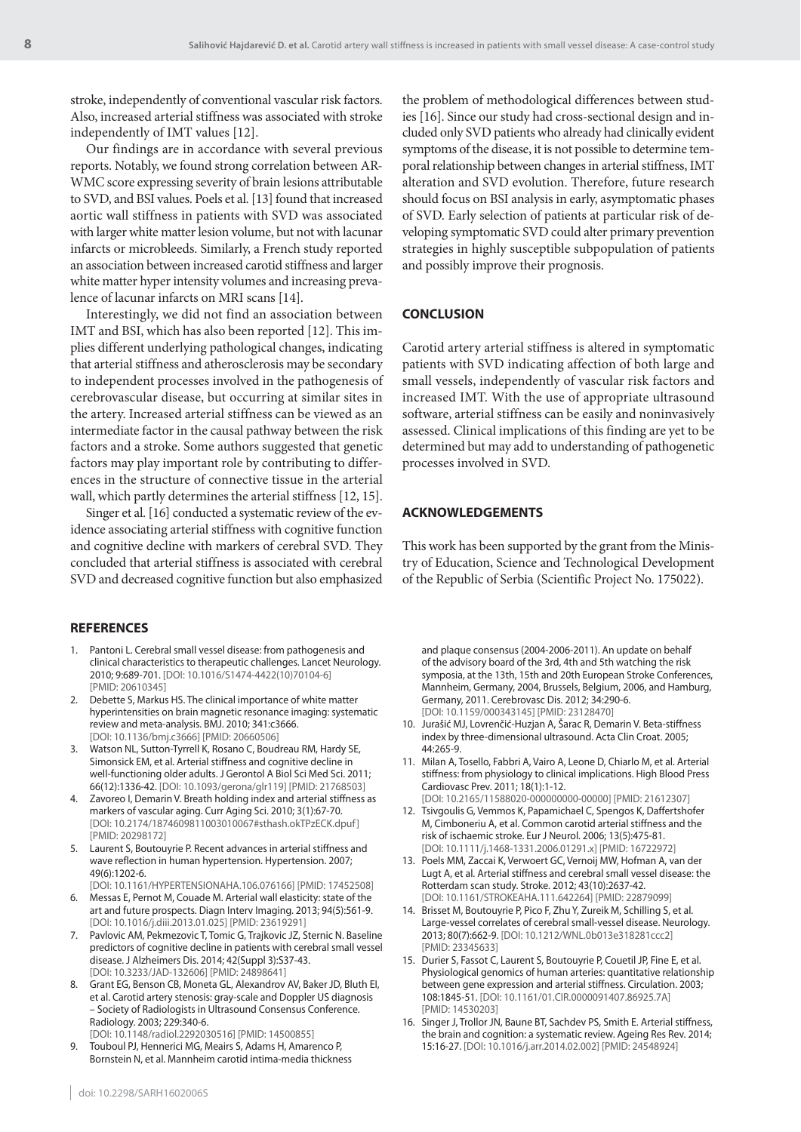stroke, independently of conventional vascular risk factors. Also, increased arterial stiffness was associated with stroke independently of IMT values [12].

Our findings are in accordance with several previous reports. Notably, we found strong correlation between AR-WMC score expressing severity of brain lesions attributable to SVD, and BSI values. Poels et al. [13] found that increased aortic wall stiffness in patients with SVD was associated with larger white matter lesion volume, but not with lacunar infarcts or microbleeds. Similarly, a French study reported an association between increased carotid stiffness and larger white matter hyper intensity volumes and increasing prevalence of lacunar infarcts on MRI scans [14].

Interestingly, we did not find an association between IMT and BSI, which has also been reported [12]. This implies different underlying pathological changes, indicating that arterial stiffness and atherosclerosis may be secondary to independent processes involved in the pathogenesis of cerebrovascular disease, but occurring at similar sites in the artery. Increased arterial stiffness can be viewed as an intermediate factor in the causal pathway between the risk factors and a stroke. Some authors suggested that genetic factors may play important role by contributing to differences in the structure of connective tissue in the arterial wall, which partly determines the arterial stiffness [12, 15].

Singer et al. [16] conducted a systematic review of the evidence associating arterial stiffness with cognitive function and cognitive decline with markers of cerebral SVD. They concluded that arterial stiffness is associated with cerebral SVD and decreased cognitive function but also emphasized

#### **REFERENCES**

- 1. Pantoni L. Cerebral small vessel disease: from pathogenesis and clinical characteristics to therapeutic challenges. Lancet Neurology. 2010; 9:689-701. [DOI: 10.1016/S1474-4422(10)70104-6] [PMID: 20610345]
- 2. Debette S, Markus HS. The clinical importance of white matter hyperintensities on brain magnetic resonance imaging: systematic review and meta-analysis. BMJ. 2010; 341:c3666. [DOI: 10.1136/bmj.c3666] [PMID: 20660506]
- 3. Watson NL, Sutton-Tyrrell K, Rosano C, Boudreau RM, Hardy SE, Simonsick EM, et al. Arterial stiffness and cognitive decline in well-functioning older adults. J Gerontol A Biol Sci Med Sci. 2011; 66(12):1336-42. [DOI: 10.1093/gerona/glr119] [PMID: 21768503]
- Zavoreo I, Demarin V. Breath holding index and arterial stiffness as markers of vascular aging. Curr Aging Sci. 2010; 3(1):67-70. [DOI: 10.2174/1874609811003010067#sthash.okTPzECK.dpuf] [PMID: 20298172]
- 5. Laurent S, Boutouyrie P. Recent advances in arterial stiffness and wave reflection in human hypertension. Hypertension. 2007; 49(6):1202-6. [DOI: 10.1161/HYPERTENSIONAHA.106.076166] [PMID: 17452508]
- Messas E, Pernot M, Couade M. Arterial wall elasticity: state of the art and future prospects. Diagn Interv Imaging. 2013; 94(5):561-9. [DOI: 10.1016/j.diii.2013.01.025] [PMID: 23619291]
- 7. Pavlovic AM, Pekmezovic T, Tomic G, Trajkovic JZ, Sternic N. Baseline predictors of cognitive decline in patients with cerebral small vessel disease. J Alzheimers Dis. 2014; 42(Suppl 3):S37-43. [DOI: 10.3233/JAD-132606] [PMID: 24898641]
- 8. Grant EG, Benson CB, Moneta GL, Alexandrov AV, Baker JD, Bluth EI, et al. Carotid artery stenosis: gray-scale and Doppler US diagnosis – Society of Radiologists in Ultrasound Consensus Conference. Radiology. 2003; 229:340-6.

[DOI: 10.1148/radiol.2292030516] [PMID: 14500855] 9. Touboul PJ, Hennerici MG, Meairs S, Adams H, Amarenco P, Bornstein N, et al. Mannheim carotid intima-media thickness

the problem of methodological differences between studies [16]. Since our study had cross-sectional design and included only SVD patients who already had clinically evident symptoms of the disease, it is not possible to determine temporal relationship between changes in arterial stiffness, IMT alteration and SVD evolution. Therefore, future research should focus on BSI analysis in early, asymptomatic phases of SVD. Early selection of patients at particular risk of developing symptomatic SVD could alter primary prevention strategies in highly susceptible subpopulation of patients and possibly improve their prognosis.

## **CONCLUSION**

Carotid artery arterial stiffness is altered in symptomatic patients with SVD indicating affection of both large and small vessels, independently of vascular risk factors and increased IMT. With the use of appropriate ultrasound software, arterial stiffness can be easily and noninvasively assessed. Clinical implications of this finding are yet to be determined but may add to understanding of pathogenetic processes involved in SVD.

#### **ACKNOWLEDGEMENTS**

This work has been supported by the grant from the Ministry of Education, Science and Technological Development of the Republic of Serbia (Scientific Project No. 175022).

and plaque consensus (2004-2006-2011). An update on behalf of the advisory board of the 3rd, 4th and 5th watching the risk symposia, at the 13th, 15th and 20th European Stroke Conferences, Mannheim, Germany, 2004, Brussels, Belgium, 2006, and Hamburg, Germany, 2011. Cerebrovasc Dis. 2012; 34:290-6. [DOI: 10.1159/000343145] [PMID: 23128470]

- 10. Jurašić MJ, Lovrenčić-Huzjan A, Šarac R, Demarin V. Beta-stiffness index by three-dimensional ultrasound. Acta Clin Croat. 2005; 44:265-9.
- 11. Milan A, Tosello, Fabbri A, Vairo A, Leone D, Chiarlo M, et al. Arterial stiffness: from physiology to clinical implications. High Blood Press Cardiovasc Prev. 2011; 18(1):1-12.
- [DOI: 10.2165/11588020-000000000-00000] [PMID: 21612307] 12. Tsivgoulis G, Vemmos K, Papamichael C, Spengos K, Daffertshofer M, Cimboneriu A, et al. Common carotid arterial stiffness and the risk of ischaemic stroke. Eur J Neurol. 2006; 13(5):475-81. [DOI: 10.1111/j.1468-1331.2006.01291.x] [PMID: 16722972]
- 13. Poels MM, Zaccai K, Verwoert GC, Vernoij MW, Hofman A, van der Lugt A, et al. Arterial stiffness and cerebral small vessel disease: the Rotterdam scan study. Stroke. 2012; 43(10):2637-42. [DOI: 10.1161/STROKEAHA.111.642264] [PMID: 22879099]
- 14. Brisset M, Boutouyrie P, Pico F, Zhu Y, Zureik M, Schilling S, et al. Large-vessel correlates of cerebral small-vessel disease. Neurology. 2013; 80(7):662-9. [DOI: 10.1212/WNL.0b013e318281ccc2] [PMID: 23345633]
- 15. Durier S, Fassot C, Laurent S, Boutouyrie P, Couetil JP, Fine E, et al. Physiological genomics of human arteries: quantitative relationship between gene expression and arterial stiffness. Circulation. 2003; 108:1845-51. [DOI: 10.1161/01.CIR.0000091407.86925.7A] [PMID: 14530203]
- 16. Singer J, Trollor JN, Baune BT, Sachdev PS, Smith E. Arterial stiffness, the brain and cognition: a systematic review. Ageing Res Rev. 2014; 15:16-27. [DOI: 10.1016/j.arr.2014.02.002] [PMID: 24548924]